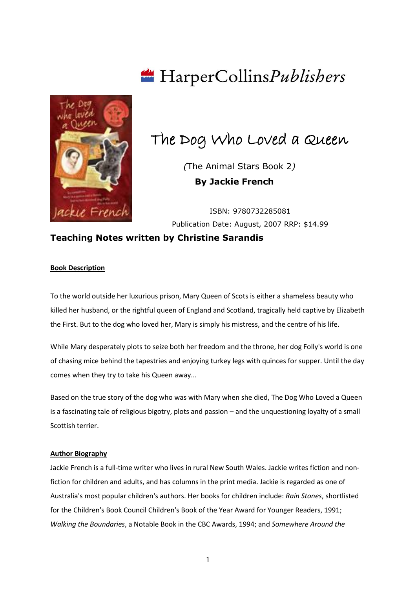

# HarperCollinsPublishers

## The Dog Who Loved a Queen

 *(*The Animal Stars Book 2*)*  **By Jackie French**

ISBN: 9780732285081 Publication Date: August, 2007 RRP: \$14.99

## **Teaching Notes written by Christine Sarandis**

## **Book Description**

To the world outside her luxurious prison, Mary Queen of Scots is either a shameless beauty who killed her husband, or the rightful queen of England and Scotland, tragically held captive by Elizabeth the First. But to the dog who loved her, Mary is simply his mistress, and the centre of his life.

While Mary desperately plots to seize both her freedom and the throne, her dog Folly's world is one of chasing mice behind the tapestries and enjoying turkey legs with quinces for supper. Until the day comes when they try to take his Queen away...

Based on the true story of the dog who was with Mary when she died, The Dog Who Loved a Queen is a fascinating tale of religious bigotry, plots and passion – and the unquestioning loyalty of a small Scottish terrier.

#### **Author Biography**

Jackie French is a full-time writer who lives in rural New South Wales. Jackie writes fiction and nonfiction for children and adults, and has columns in the print media. Jackie is regarded as one of Australia's most popular children's authors. Her books for children include: *Rain Stones*, shortlisted for the Children's Book Council Children's Book of the Year Award for Younger Readers, 1991; *Walking the Boundaries*, a Notable Book in the CBC Awards, 1994; and *Somewhere Around the* 

1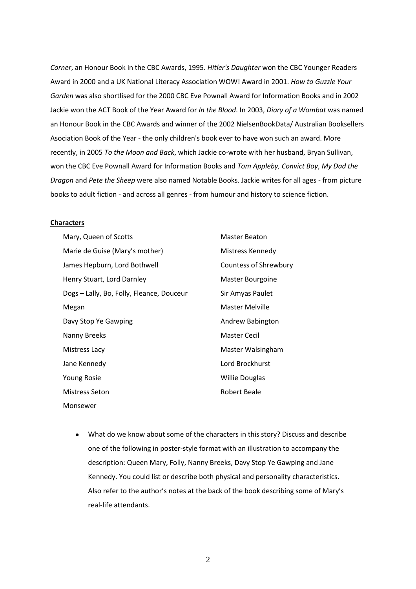*Corner*, an Honour Book in the CBC Awards, 1995. *Hitler's Daughter* won the CBC Younger Readers Award in 2000 and a UK National Literacy Association WOW! Award in 2001. *How to Guzzle Your Garden* was also shortlised for the 2000 CBC Eve Pownall Award for Information Books and in 2002 Jackie won the ACT Book of the Year Award for *In the Blood*. In 2003, *Diary of a Wombat* was named an Honour Book in the CBC Awards and winner of the 2002 NielsenBookData/ Australian Booksellers Asociation Book of the Year - the only children's book ever to have won such an award. More recently, in 2005 *To the Moon and Back*, which Jackie co-wrote with her husband, Bryan Sullivan, won the CBC Eve Pownall Award for Information Books and *Tom Appleby, Convict Boy*, *My Dad the Dragon* and *Pete the Sheep* were also named Notable Books. Jackie writes for all ages - from picture books to adult fiction - and across all genres - from humour and history to science fiction.

#### **Characters**

| Mary, Queen of Scotts                     | Master Beaton         |
|-------------------------------------------|-----------------------|
| Marie de Guise (Mary's mother)            | Mistress Kennedy      |
| James Hepburn, Lord Bothwell              | Countess of Shrewbury |
| Henry Stuart, Lord Darnley                | Master Bourgoine      |
| Dogs - Lally, Bo, Folly, Fleance, Douceur | Sir Amyas Paulet      |
| Megan                                     | Master Melville       |
| Davy Stop Ye Gawping                      | Andrew Babington      |
| Nanny Breeks                              | <b>Master Cecil</b>   |
| Mistress Lacy                             | Master Walsingham     |
| Jane Kennedy                              | Lord Brockhurst       |
| <b>Young Rosie</b>                        | <b>Willie Douglas</b> |
| <b>Mistress Seton</b>                     | Robert Beale          |
| Monsewer                                  |                       |

What do we know about some of the characters in this story? Discuss and describe one of the following in poster-style format with an illustration to accompany the description: Queen Mary, Folly, Nanny Breeks, Davy Stop Ye Gawping and Jane Kennedy. You could list or describe both physical and personality characteristics. Also refer to the author's notes at the back of the book describing some of Mary's real-life attendants.

2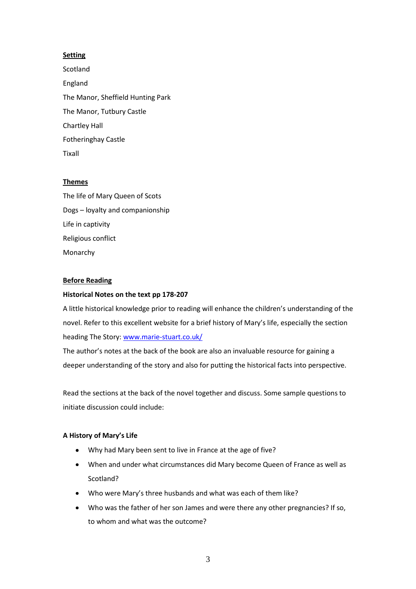## **Setting**

Scotland England The Manor, Sheffield Hunting Park The Manor, Tutbury Castle Chartley Hall Fotheringhay Castle Tixall

## **Themes**

The life of Mary Queen of Scots Dogs – loyalty and companionship Life in captivity Religious conflict Monarchy

## **Before Reading**

## **Historical Notes on the text pp 178-207**

A little historical knowledge prior to reading will enhance the children's understanding of the novel. Refer to this excellent website for a brief history of Mary's life, especially the section heading The Story: [www.marie-stuart.co.uk/](http://www.marie-stuart.co.uk/)

The author's notes at the back of the book are also an invaluable resource for gaining a deeper understanding of the story and also for putting the historical facts into perspective.

Read the sections at the back of the novel together and discuss. Some sample questions to initiate discussion could include:

## **A History of Mary's Life**

- Why had Mary been sent to live in France at the age of five?
- When and under what circumstances did Mary become Queen of France as well as Scotland?
- Who were Mary's three husbands and what was each of them like?
- Who was the father of her son James and were there any other pregnancies? If so, to whom and what was the outcome?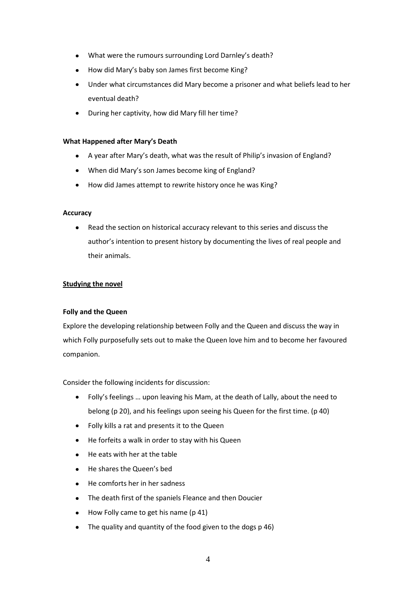- What were the rumours surrounding Lord Darnley's death?  $\bullet$
- How did Mary's baby son James first become King?
- Under what circumstances did Mary become a prisoner and what beliefs lead to her eventual death?
- During her captivity, how did Mary fill her time?

#### **What Happened after Mary's Death**

- A year after Mary's death, what was the result of Philip's invasion of England?  $\bullet$
- When did Mary's son James become king of England?
- How did James attempt to rewrite history once he was King?  $\bullet$

#### **Accuracy**

 $\bullet$ Read the section on historical accuracy relevant to this series and discuss the author's intention to present history by documenting the lives of real people and their animals.

## **Studying the novel**

## **Folly and the Queen**

Explore the developing relationship between Folly and the Queen and discuss the way in which Folly purposefully sets out to make the Queen love him and to become her favoured companion.

Consider the following incidents for discussion:

- Folly's feelings … upon leaving his Mam, at the death of Lally, about the need to  $\bullet$ belong (p 20), and his feelings upon seeing his Queen for the first time. (p 40)
- Folly kills a rat and presents it to the Queen
- He forfeits a walk in order to stay with his Queen
- He eats with her at the table
- He shares the Queen's bed
- He comforts her in her sadness  $\bullet$
- The death first of the spaniels Fleance and then Doucier  $\bullet$
- How Folly came to get his name (p 41)
- The quality and quantity of the food given to the dogs p 46)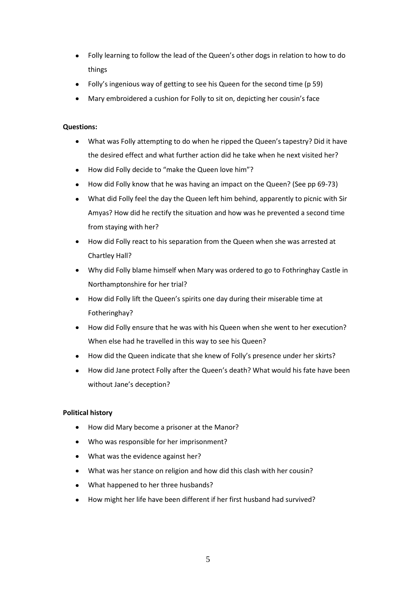- Folly learning to follow the lead of the Queen's other dogs in relation to how to do things
- Folly's ingenious way of getting to see his Queen for the second time (p 59)
- Mary embroidered a cushion for Folly to sit on, depicting her cousin's face

## **Questions:**

- What was Folly attempting to do when he ripped the Queen's tapestry? Did it have the desired effect and what further action did he take when he next visited her?
- How did Folly decide to "make the Queen love him"?  $\bullet$
- How did Folly know that he was having an impact on the Queen? (See pp 69-73)
- What did Folly feel the day the Queen left him behind, apparently to picnic with Sir Amyas? How did he rectify the situation and how was he prevented a second time from staying with her?
- How did Folly react to his separation from the Queen when she was arrested at Chartley Hall?
- Why did Folly blame himself when Mary was ordered to go to Fothringhay Castle in Northamptonshire for her trial?
- How did Folly lift the Queen's spirits one day during their miserable time at Fotheringhay?
- How did Folly ensure that he was with his Queen when she went to her execution? When else had he travelled in this way to see his Queen?
- How did the Queen indicate that she knew of Folly's presence under her skirts?
- How did Jane protect Folly after the Queen's death? What would his fate have been without Jane's deception?

## **Political history**

- How did Mary become a prisoner at the Manor?
- Who was responsible for her imprisonment?
- What was the evidence against her?
- What was her stance on religion and how did this clash with her cousin?
- What happened to her three husbands?
- How might her life have been different if her first husband had survived?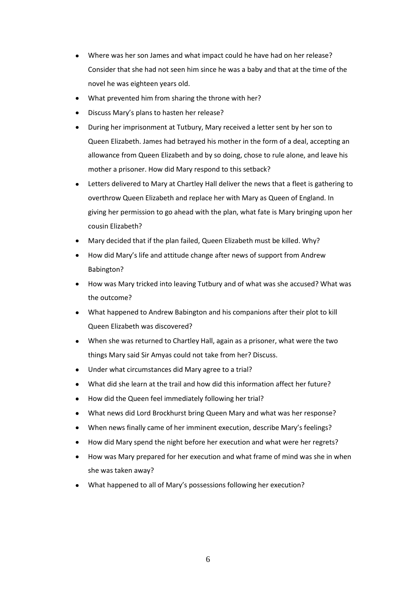- Where was her son James and what impact could he have had on her release? Consider that she had not seen him since he was a baby and that at the time of the novel he was eighteen years old.
- What prevented him from sharing the throne with her?
- Discuss Mary's plans to hasten her release?
- During her imprisonment at Tutbury, Mary received a letter sent by her son to Queen Elizabeth. James had betrayed his mother in the form of a deal, accepting an allowance from Queen Elizabeth and by so doing, chose to rule alone, and leave his mother a prisoner. How did Mary respond to this setback?
- Letters delivered to Mary at Chartley Hall deliver the news that a fleet is gathering to overthrow Queen Elizabeth and replace her with Mary as Queen of England. In giving her permission to go ahead with the plan, what fate is Mary bringing upon her cousin Elizabeth?
- Mary decided that if the plan failed, Queen Elizabeth must be killed. Why?
- How did Mary's life and attitude change after news of support from Andrew Babington?
- How was Mary tricked into leaving Tutbury and of what was she accused? What was the outcome?
- What happened to Andrew Babington and his companions after their plot to kill Queen Elizabeth was discovered?
- When she was returned to Chartley Hall, again as a prisoner, what were the two things Mary said Sir Amyas could not take from her? Discuss.
- Under what circumstances did Mary agree to a trial?
- What did she learn at the trail and how did this information affect her future?
- How did the Queen feel immediately following her trial?
- What news did Lord Brockhurst bring Queen Mary and what was her response?
- When news finally came of her imminent execution, describe Mary's feelings?
- How did Mary spend the night before her execution and what were her regrets?
- How was Mary prepared for her execution and what frame of mind was she in when she was taken away?
- What happened to all of Mary's possessions following her execution?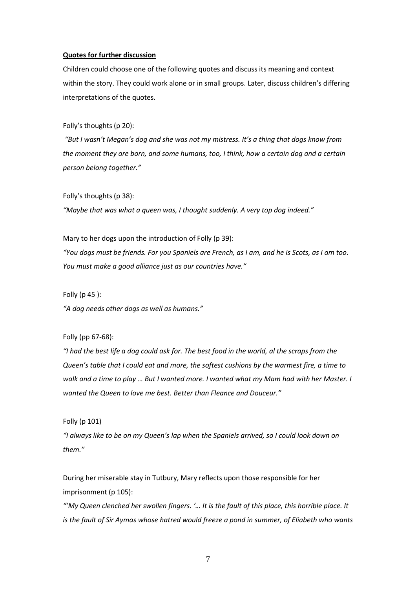#### **Quotes for further discussion**

Children could choose one of the following quotes and discuss its meaning and context within the story. They could work alone or in small groups. Later, discuss children's differing interpretations of the quotes.

Folly's thoughts (p 20):

*"But I wasn't Megan's dog and she was not my mistress. It's a thing that dogs know from the moment they are born, and some humans, too, I think, how a certain dog and a certain person belong together."*

Folly's thoughts (p 38):

*"Maybe that was what a queen was, I thought suddenly. A very top dog indeed."*

Mary to her dogs upon the introduction of Folly (p 39):

*"You dogs must be friends. For you Spaniels are French, as I am, and he is Scots, as I am too. You must make a good alliance just as our countries have."*

Folly (p 45 ):

*"A dog needs other dogs as well as humans."*

Folly (pp 67-68):

*"I had the best life a dog could ask for. The best food in the world, al the scraps from the Queen's table that I could eat and more, the softest cushions by the warmest fire, a time to walk and a time to play … But I wanted more. I wanted what my Mam had with her Master. I wanted the Queen to love me best. Better than Fleance and Douceur."*

Folly (p 101)

*"I always like to be on my Queen's lap when the Spaniels arrived, so I could look down on them."*

During her miserable stay in Tutbury, Mary reflects upon those responsible for her imprisonment (p 105):

*"'My Queen clenched her swollen fingers. '… It is the fault of this place, this horrible place. It is the fault of Sir Aymas whose hatred would freeze a pond in summer, of Eliabeth who wants*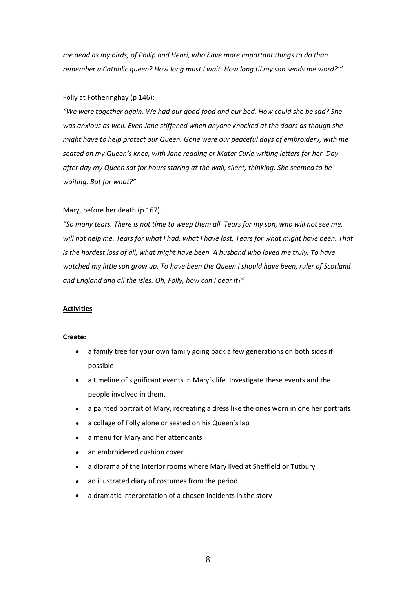*me dead as my birds, of Philip and Henri, who have more important things to do than remember a Catholic queen? How long must I wait. How long til my son sends me word?'"*

#### Folly at Fotheringhay (p 146):

*"We were together again. We had our good food and our bed. How could she be sad? She was anxious as well. Even Jane stiffened when anyone knocked at the doors as though she might have to help protect our Queen. Gone were our peaceful days of embroidery, with me seated on my Queen's knee, with Jane reading or Mater Curle writing letters for her. Day after day my Queen sat for hours staring at the wall, silent, thinking. She seemed to be waiting. But for what?"*

#### Mary, before her death (p 167):

*"So many tears. There is not time to weep them all. Tears for my son, who will not see me, will not help me. Tears for what I had, what I have lost. Tears for what might have been. That is the hardest loss of all, what might have been. A husband who loved me truly. To have watched my little son grow up. To have been the Queen I should have been, ruler of Scotland and England and all the isles. Oh, Folly, how can I bear it?"*

#### **Activities**

#### **Create:**

- a family tree for your own family going back a few generations on both sides if  $\bullet$ possible
- a timeline of significant events in Mary's life. Investigate these events and the people involved in them.
- a painted portrait of Mary, recreating a dress like the ones worn in one her portraits
- a collage of Folly alone or seated on his Queen's lap
- a menu for Mary and her attendants
- an embroidered cushion cover
- a diorama of the interior rooms where Mary lived at Sheffield or Tutbury
- an illustrated diary of costumes from the period
- a dramatic interpretation of a chosen incidents in the story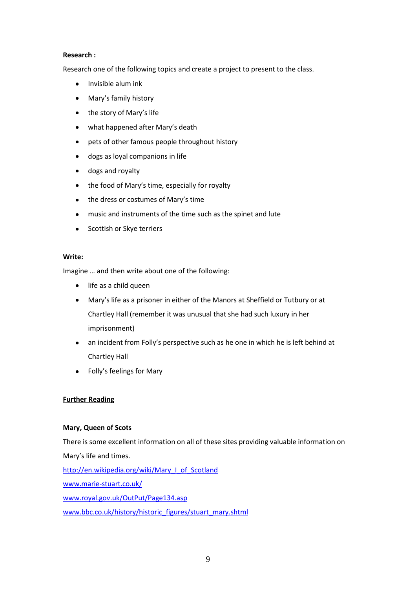## **Research :**

Research one of the following topics and create a project to present to the class.

- Invisible alum ink  $\bullet$
- Mary's family history  $\bullet$
- the story of Mary's life  $\bullet$
- what happened after Mary's death  $\bullet$
- pets of other famous people throughout history
- dogs as loyal companions in life  $\bullet$
- dogs and royalty
- the food of Mary's time, especially for royalty  $\bullet$
- the dress or costumes of Mary's time  $\bullet$
- music and instruments of the time such as the spinet and lute
- Scottish or Skye terriers

## **Write:**

Imagine … and then write about one of the following:

- life as a child queen  $\bullet$
- Mary's life as a prisoner in either of the Manors at Sheffield or Tutbury or at Chartley Hall (remember it was unusual that she had such luxury in her imprisonment)
- an incident from Folly's perspective such as he one in which he is left behind at  $\bullet$ Chartley Hall
- Folly's feelings for Mary

## **Further Reading**

## **Mary, Queen of Scots**

There is some excellent information on all of these sites providing valuable information on Mary's life and times. [http://en.wikipedia.org/wiki/Mary\\_I\\_of\\_Scotland](http://en.wikipedia.org/wiki/Mary_I_of_Scotland)

[www.marie-stuart.co.uk/](http://www.marie-stuart.co.uk/)

[www.royal.gov.uk/OutPut/Page134.asp](http://www.royal.gov.uk/OutPut/Page134.asp)

[www.bbc.co.uk/history/historic\\_figures/stuart\\_mary.shtml](http://www.bbc.co.uk/history/historic_figures/stuart_mary.shtml)